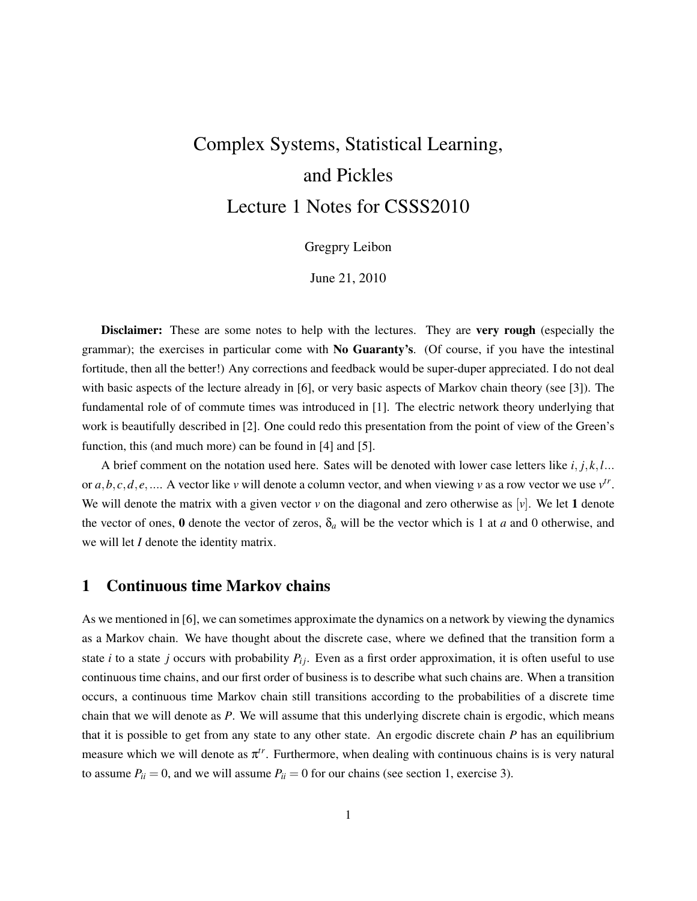# Complex Systems, Statistical Learning, and Pickles Lecture 1 Notes for CSSS2010

## Gregpry Leibon

June 21, 2010

Disclaimer: These are some notes to help with the lectures. They are very rough (especially the grammar); the exercises in particular come with No Guaranty's. (Of course, if you have the intestinal fortitude, then all the better!) Any corrections and feedback would be super-duper appreciated. I do not deal with basic aspects of the lecture already in [6], or very basic aspects of Markov chain theory (see [3]). The fundamental role of of commute times was introduced in [1]. The electric network theory underlying that work is beautifully described in [2]. One could redo this presentation from the point of view of the Green's function, this (and much more) can be found in [4] and [5].

A brief comment on the notation used here. Sates will be denoted with lower case letters like *i*, *j*,*k*,*l*... or  $a, b, c, d, e, \ldots$ . A vector like *v* will denote a column vector, and when viewing *v* as a row vector we use  $v^t$ . We will denote the matrix with a given vector  $v$  on the diagonal and zero otherwise as  $[v]$ . We let 1 denote the vector of ones, 0 denote the vector of zeros,  $\delta_a$  will be the vector which is 1 at *a* and 0 otherwise, and we will let *I* denote the identity matrix.

# 1 Continuous time Markov chains

As we mentioned in [6], we can sometimes approximate the dynamics on a network by viewing the dynamics as a Markov chain. We have thought about the discrete case, where we defined that the transition form a state *i* to a state *j* occurs with probability  $P_i$ . Even as a first order approximation, it is often useful to use continuous time chains, and our first order of business is to describe what such chains are. When a transition occurs, a continuous time Markov chain still transitions according to the probabilities of a discrete time chain that we will denote as *P*. We will assume that this underlying discrete chain is ergodic, which means that it is possible to get from any state to any other state. An ergodic discrete chain *P* has an equilibrium measure which we will denote as  $\pi^{tr}$ . Furthermore, when dealing with continuous chains is is very natural to assume  $P_{ii} = 0$ , and we will assume  $P_{ii} = 0$  for our chains (see section 1, exercise 3).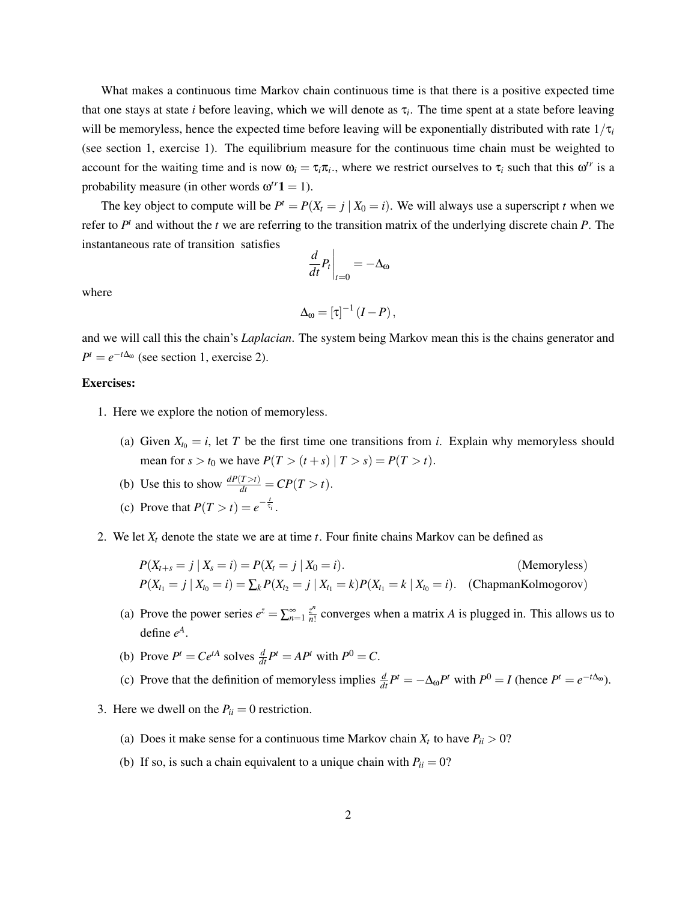What makes a continuous time Markov chain continuous time is that there is a positive expected time that one stays at state *i* before leaving, which we will denote as τ*<sup>i</sup>* . The time spent at a state before leaving will be memoryless, hence the expected time before leaving will be exponentially distributed with rate  $1/\tau_i$ (see section 1, exercise 1). The equilibrium measure for the continuous time chain must be weighted to account for the waiting time and is now  $\omega_i = \tau_i \pi_i$ , where we restrict ourselves to  $\tau_i$  such that this  $\omega^{tr}$  is a probability measure (in other words  $\omega^{tr}$ **1** = 1).

The key object to compute will be  $P^t = P(X_t = j | X_0 = i)$ . We will always use a superscript *t* when we refer to  $P<sup>t</sup>$  and without the *t* we are referring to the transition matrix of the underlying discrete chain  $P$ . The instantaneous rate of transition satisfies

$$
\left. \frac{d}{dt} P_t \right|_{t=0} = -\Delta_{\omega}
$$

where

$$
\Delta_{\omega}=[\tau]^{-1}\left(I-P\right),\,
$$

and we will call this the chain's *Laplacian*. The system being Markov mean this is the chains generator and  $P^t = e^{-t\Delta_{0t}}$  (see section 1, exercise 2).

### Exercises:

- 1. Here we explore the notion of memoryless.
	- (a) Given  $X_{t_0} = i$ , let *T* be the first time one transitions from *i*. Explain why memoryless should mean for  $s > t_0$  we have  $P(T > (t + s) | T > s) = P(T > t)$ .
	- (b) Use this to show  $\frac{dP(T>t)}{dt} = CP(T > t)$ .
	- (c) Prove that  $P(T > t) = e^{-\frac{t}{\tau_i}}$ .
- 2. We let *X<sup>t</sup>* denote the state we are at time *t*. Four finite chains Markov can be defined as

$$
P(X_{t+s} = j | X_s = i) = P(X_t = j | X_0 = i).
$$
 (Memoryless)  
\n
$$
P(X_{t_1} = j | X_{t_0} = i) = \sum_k P(X_{t_2} = j | X_{t_1} = k) P(X_{t_1} = k | X_{t_0} = i).
$$
 (ChapmanKolmogorov)

- (a) Prove the power series  $e^z = \sum_{n=1}^{\infty} \frac{z^n}{n!}$  $\frac{z^n}{n!}$  converges when a matrix *A* is plugged in. This allows us to define  $e^A$ .
- (b) Prove  $P^t = Ce^{tA}$  solves  $\frac{d}{dt}P^t = AP^t$  with  $P^0 = C$ .
- (c) Prove that the definition of memoryless implies  $\frac{d}{dt}P^t = -\Delta_{\omega}P^t$  with  $P^0 = I$  (hence  $P^t = e^{-t\Delta_{\omega}}$ ).
- 3. Here we dwell on the  $P_{ii} = 0$  restriction.
	- (a) Does it make sense for a continuous time Markov chain  $X_t$  to have  $P_{ii} > 0$ ?
	- (b) If so, is such a chain equivalent to a unique chain with  $P_{ii} = 0$ ?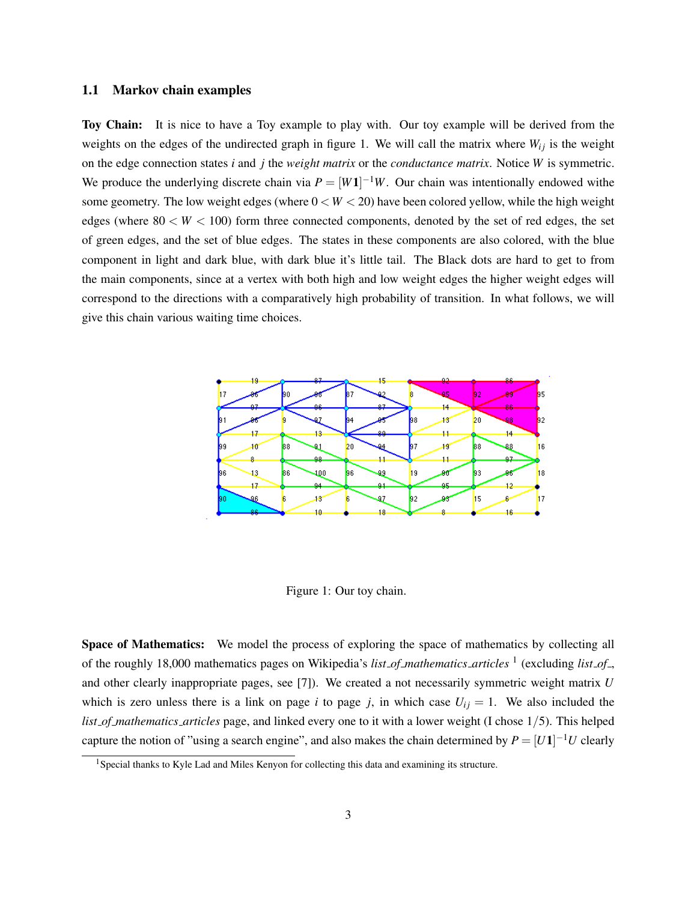### 1.1 Markov chain examples

Toy Chain: It is nice to have a Toy example to play with. Our toy example will be derived from the weights on the edges of the undirected graph in figure 1. We will call the matrix where  $W_{ij}$  is the weight on the edge connection states *i* and *j* the *weight matrix* or the *conductance matrix*. Notice *W* is symmetric. We produce the underlying discrete chain via  $P = [W1]^{-1}W$ . Our chain was intentionally endowed withe some geometry. The low weight edges (where  $0 < W < 20$ ) have been colored yellow, while the high weight edges (where  $80 < W < 100$ ) form three connected components, denoted by the set of red edges, the set of green edges, and the set of blue edges. The states in these components are also colored, with the blue component in light and dark blue, with dark blue it's little tail. The Black dots are hard to get to from the main components, since at a vertex with both high and low weight edges the higher weight edges will correspond to the directions with a comparatively high probability of transition. In what follows, we will give this chain various waiting time choices.



Figure 1: Our toy chain.

Space of Mathematics: We model the process of exploring the space of mathematics by collecting all of the roughly 18,000 mathematics pages on Wikipedia's *list of mathematics articles* <sup>1</sup> (excluding *list of* , and other clearly inappropriate pages, see [7]). We created a not necessarily symmetric weight matrix *U* which is zero unless there is a link on page *i* to page *j*, in which case  $U_{ij} = 1$ . We also included the *list of mathematics articles* page, and linked every one to it with a lower weight (I chose 1/5). This helped capture the notion of "using a search engine", and also makes the chain determined by  $P = [U1]^{-1}U$  clearly

<sup>&</sup>lt;sup>1</sup>Special thanks to Kyle Lad and Miles Kenyon for collecting this data and examining its structure.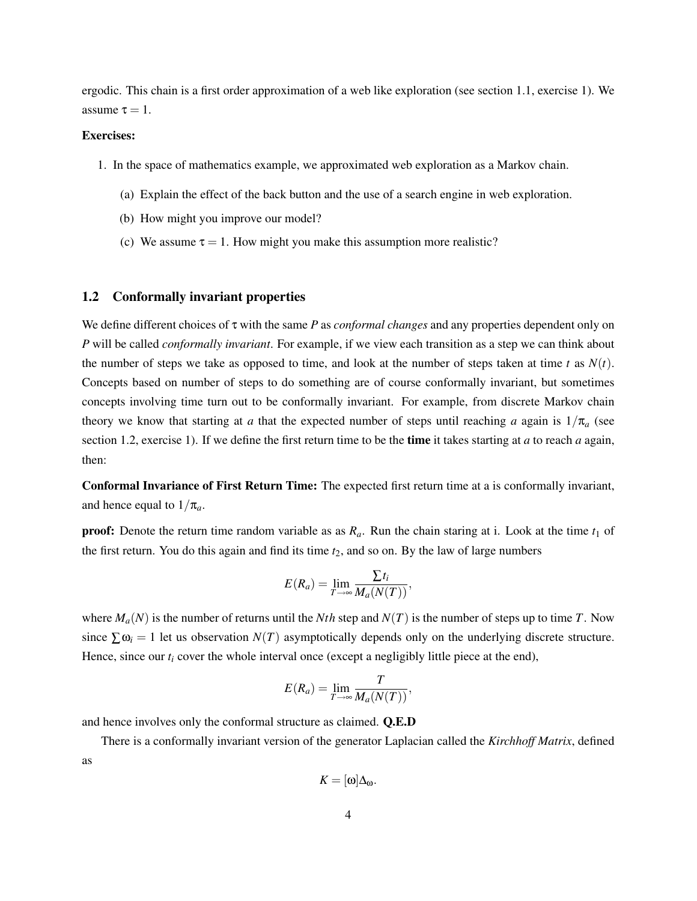ergodic. This chain is a first order approximation of a web like exploration (see section 1.1, exercise 1). We assume  $\tau = 1$ .

### Exercises:

- 1. In the space of mathematics example, we approximated web exploration as a Markov chain.
	- (a) Explain the effect of the back button and the use of a search engine in web exploration.
	- (b) How might you improve our model?
	- (c) We assume  $\tau = 1$ . How might you make this assumption more realistic?

### 1.2 Conformally invariant properties

We define different choices of τ with the same *P* as *conformal changes* and any properties dependent only on *P* will be called *conformally invariant*. For example, if we view each transition as a step we can think about the number of steps we take as opposed to time, and look at the number of steps taken at time *t* as  $N(t)$ . Concepts based on number of steps to do something are of course conformally invariant, but sometimes concepts involving time turn out to be conformally invariant. For example, from discrete Markov chain theory we know that starting at *a* that the expected number of steps until reaching *a* again is  $1/\pi_a$  (see section 1.2, exercise 1). If we define the first return time to be the time it takes starting at *a* to reach *a* again, then:

Conformal Invariance of First Return Time: The expected first return time at a is conformally invariant, and hence equal to  $1/\pi_a$ .

**proof:** Denote the return time random variable as as  $R_a$ . Run the chain staring at i. Look at the time  $t_1$  of the first return. You do this again and find its time *t*2, and so on. By the law of large numbers

$$
E(R_a) = \lim_{T \to \infty} \frac{\sum t_i}{M_a(N(T))},
$$

where  $M_a(N)$  is the number of returns until the *Nth* step and  $N(T)$  is the number of steps up to time *T*. Now since  $\sum \omega_i = 1$  let us observation  $N(T)$  asymptotically depends only on the underlying discrete structure. Hence, since our  $t_i$  cover the whole interval once (except a negligibly little piece at the end),

$$
E(R_a) = \lim_{T \to \infty} \frac{T}{M_a(N(T))},
$$

and hence involves only the conformal structure as claimed. Q.E.D

There is a conformally invariant version of the generator Laplacian called the *Kirchhoff Matrix*, defined as

$$
K=[\omega]\Delta_{\omega}.
$$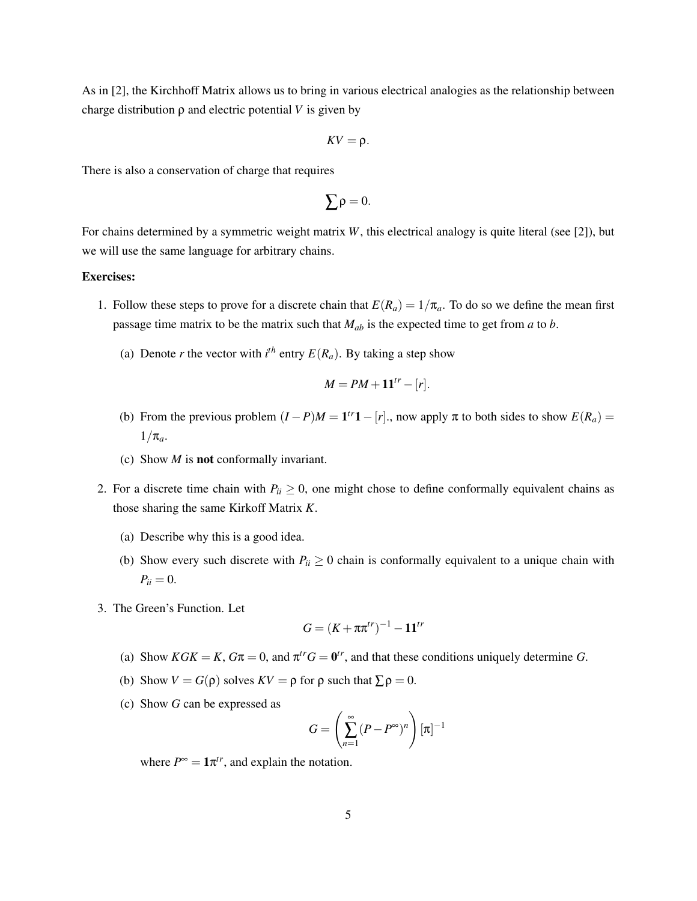As in [2], the Kirchhoff Matrix allows us to bring in various electrical analogies as the relationship between charge distribution  $\rho$  and electric potential *V* is given by

$$
\mathit{KV} = \rho.
$$

There is also a conservation of charge that requires

$$
\sum \rho = 0.
$$

For chains determined by a symmetric weight matrix *W*, this electrical analogy is quite literal (see [2]), but we will use the same language for arbitrary chains.

### Exercises:

- 1. Follow these steps to prove for a discrete chain that  $E(R_a) = 1/\pi_a$ . To do so we define the mean first passage time matrix to be the matrix such that *Mab* is the expected time to get from *a* to *b*.
	- (a) Denote *r* the vector with  $i^{th}$  entry  $E(R_a)$ . By taking a step show

$$
M = PM + \mathbf{11}^{tr} - [r].
$$

- (b) From the previous problem  $(I P)M = \mathbf{1}^{tr}\mathbf{1} [r]$ ., now apply  $\pi$  to both sides to show  $E(R_a) =$  $1/\pi_a$ .
- (c) Show *M* is not conformally invariant.
- 2. For a discrete time chain with  $P_{ii} \geq 0$ , one might chose to define conformally equivalent chains as those sharing the same Kirkoff Matrix *K*.
	- (a) Describe why this is a good idea.
	- (b) Show every such discrete with  $P_{ii} \ge 0$  chain is conformally equivalent to a unique chain with  $P_{ii} = 0.$
- 3. The Green's Function. Let

$$
G=(K+\pi\pi^{tr})^{-1}-\mathbf{1}\mathbf{1}^{tr}
$$

- (a) Show  $KGK = K$ ,  $G\pi = 0$ , and  $\pi^{tr}G = \mathbf{0}^{tr}$ , and that these conditions uniquely determine *G*.
- (b) Show  $V = G(\rho)$  solves  $KV = \rho$  for  $\rho$  such that  $\sum \rho = 0$ .
- (c) Show *G* can be expressed as

$$
G = \left(\sum_{n=1}^{\infty} (P - P^{\infty})^n\right) [\pi]^{-1}
$$

where  $P^{\infty} = \mathbf{1} \pi^{tr}$ , and explain the notation.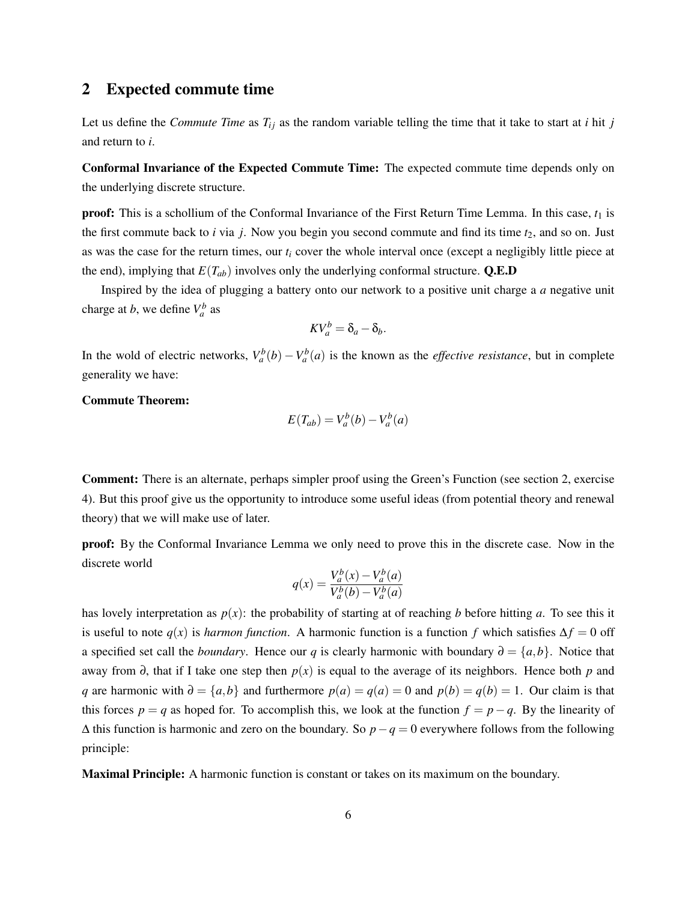# 2 Expected commute time

Let us define the *Commute Time* as  $T_{ij}$  as the random variable telling the time that it take to start at *i* hit *j* and return to *i*.

Conformal Invariance of the Expected Commute Time: The expected commute time depends only on the underlying discrete structure.

**proof:** This is a schollium of the Conformal Invariance of the First Return Time Lemma. In this case,  $t_1$  is the first commute back to  $i$  via  $j$ . Now you begin you second commute and find its time  $t_2$ , and so on. Just as was the case for the return times, our *t<sup>i</sup>* cover the whole interval once (except a negligibly little piece at the end), implying that  $E(T_{ab})$  involves only the underlying conformal structure. **Q.E.D** 

Inspired by the idea of plugging a battery onto our network to a positive unit charge a *a* negative unit charge at *b*, we define  $V_a^b$  as

$$
KV_a^b = \delta_a - \delta_b.
$$

In the wold of electric networks,  $V_a^b(b) - V_a^b(a)$  is the known as the *effective resistance*, but in complete generality we have:

Commute Theorem:

$$
E(T_{ab}) = V_a^b(b) - V_a^b(a)
$$

Comment: There is an alternate, perhaps simpler proof using the Green's Function (see section 2, exercise 4). But this proof give us the opportunity to introduce some useful ideas (from potential theory and renewal theory) that we will make use of later.

proof: By the Conformal Invariance Lemma we only need to prove this in the discrete case. Now in the discrete world

$$
q(x) = \frac{V_a^b(x) - V_a^b(a)}{V_a^b(b) - V_a^b(a)}
$$

has lovely interpretation as  $p(x)$ : the probability of starting at of reaching *b* before hitting *a*. To see this it is useful to note  $q(x)$  is *harmon function*. A harmonic function is a function *f* which satisfies  $\Delta f = 0$  off a specified set call the *boundary*. Hence our *q* is clearly harmonic with boundary  $\partial = \{a, b\}$ . Notice that away from ∂, that if I take one step then *p*(*x*) is equal to the average of its neighbors. Hence both *p* and *q* are harmonic with  $\partial = \{a, b\}$  and furthermore  $p(a) = q(a) = 0$  and  $p(b) = q(b) = 1$ . Our claim is that this forces  $p = q$  as hoped for. To accomplish this, we look at the function  $f = p - q$ . By the linearity of ∆ this function is harmonic and zero on the boundary. So *p*−*q* = 0 everywhere follows from the following principle:

Maximal Principle: A harmonic function is constant or takes on its maximum on the boundary.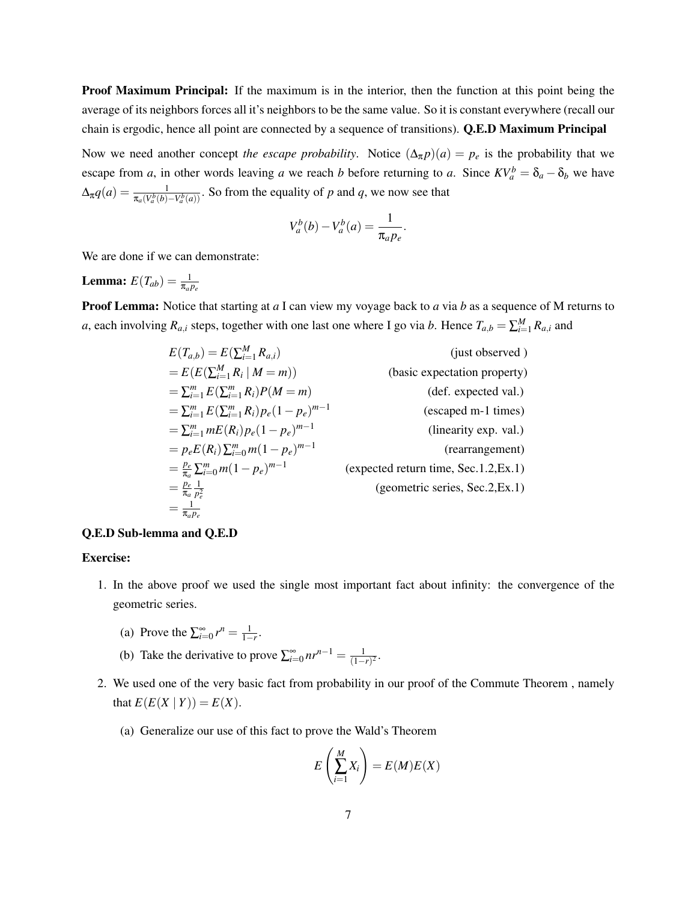Proof Maximum Principal: If the maximum is in the interior, then the function at this point being the average of its neighbors forces all it's neighbors to be the same value. So it is constant everywhere (recall our chain is ergodic, hence all point are connected by a sequence of transitions). Q.E.D Maximum Principal

Now we need another concept *the escape probability*. Notice  $(\Delta_{\pi} p)(a) = p_e$  is the probability that we escape from *a*, in other words leaving *a* we reach *b* before returning to *a*. Since  $KV_a^b = \delta_a - \delta_b$  we have  $\Delta_{\pi}q(a) = \frac{1}{\pi_a(V_a^b(b) - V_a^b(a))}$ . So from the equality of *p* and *q*, we now see that

$$
V_a^b(b) - V_a^b(a) = \frac{1}{\pi_a p_e}.
$$

We are done if we can demonstrate:

**Lemma:**  $E(T_{ab}) = \frac{1}{\pi_a p_e}$ 

Proof Lemma: Notice that starting at *a* I can view my voyage back to *a* via *b* as a sequence of M returns to *a*, each involving  $R_{a,i}$  steps, together with one last one where I go via *b*. Hence  $T_{a,b} = \sum_{i=1}^{M} R_{a,i}$  and

$$
E(T_{a,b}) = E(\sum_{i=1}^{M} R_{a,i})
$$
 (just observed)  
\n
$$
= E(E(\sum_{i=1}^{M} R_i | M = m))
$$
 (basic expectation property)  
\n
$$
= \sum_{i=1}^{m} E(\sum_{i=1}^{m} R_i)P(M = m)
$$
 (def. expected val.)  
\n
$$
= \sum_{i=1}^{m} E(\sum_{i=1}^{m} R_i) p_e (1 - p_e)^{m-1}
$$
 (escapeed m-1 times)  
\n
$$
= \sum_{i=1}^{m} mE(R_i) p_e (1 - p_e)^{m-1}
$$
 (linearity exp. val.)  
\n
$$
= p_e E(R_i) \sum_{i=0}^{m} m (1 - p_e)^{m-1}
$$
 (rearrangement)  
\n
$$
= \frac{p_e}{\pi_a} \sum_{i=0}^{m} m (1 - p_e)^{m-1}
$$
 (expected return time, Sec.1.2,Ex.1)  
\n
$$
= \frac{p_e}{\pi_a p_e} \sum_{i=1}^{m} m P_e
$$
 (geometric series, Sec.2,Ex.1)

#### Q.E.D Sub-lemma and Q.E.D

### Exercise:

- 1. In the above proof we used the single most important fact about infinity: the convergence of the geometric series.
	- (a) Prove the  $\sum_{i=0}^{\infty} r^n = \frac{1}{1-r}$ .
	- (b) Take the derivative to prove  $\sum_{i=0}^{\infty} nr^{n-1} = \frac{1}{(1-\epsilon)}$  $\frac{1}{(1-r)^2}$ .
- 2. We used one of the very basic fact from probability in our proof of the Commute Theorem , namely that  $E(E(X | Y)) = E(X)$ .
	- (a) Generalize our use of this fact to prove the Wald's Theorem

$$
E\left(\sum_{i=1}^{M} X_i\right) = E(M)E(X)
$$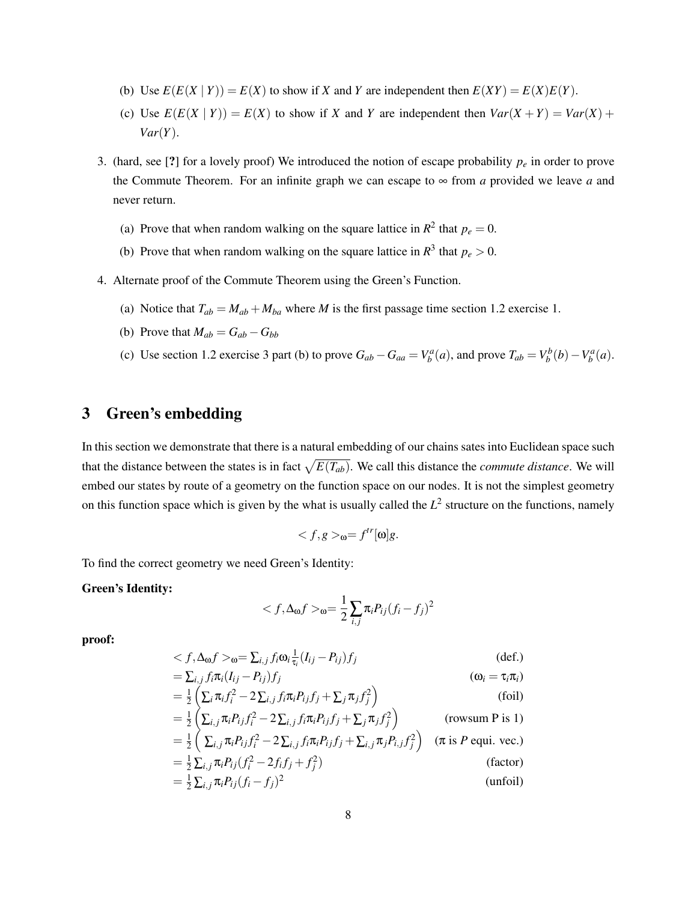- (b) Use  $E(E(X | Y)) = E(X)$  to show if *X* and *Y* are independent then  $E(XY) = E(X)E(Y)$ .
- (c) Use  $E(E(X | Y)) = E(X)$  to show if *X* and *Y* are independent then  $Var(X + Y) = Var(X) +$ *Var*(*Y*).
- 3. (hard, see [?] for a lovely proof) We introduced the notion of escape probability *p<sup>e</sup>* in order to prove the Commute Theorem. For an infinite graph we can escape to  $\infty$  from *a* provided we leave *a* and never return.
	- (a) Prove that when random walking on the square lattice in  $R^2$  that  $p_e = 0$ .
	- (b) Prove that when random walking on the square lattice in  $R^3$  that  $p_e > 0$ .
- 4. Alternate proof of the Commute Theorem using the Green's Function.
	- (a) Notice that  $T_{ab} = M_{ab} + M_{ba}$  where *M* is the first passage time section 1.2 exercise 1.
	- (b) Prove that  $M_{ab} = G_{ab} G_{bb}$
	- (c) Use section 1.2 exercise 3 part (b) to prove  $G_{ab} G_{aa} = V_b^a(a)$ , and prove  $T_{ab} = V_b^b(b) V_b^a(a)$ .

# 3 Green's embedding

In this section we demonstrate that there is a natural embedding of our chains sates into Euclidean space such that the distance between the states is in fact  $\sqrt{E(T_{ab})}$ . We call this distance the *commute distance*. We will embed our states by route of a geometry on the function space on our nodes. It is not the simplest geometry on this function space which is given by the what is usually called the  $L^2$  structure on the functions, namely

$$
_{\mathbf{Q}}=f^{tr}[\mathbf{Q}]g.
$$

To find the correct geometry we need Green's Identity:

### Green's Identity:

$$
\langle f, \Delta_{\omega} f \rangle_{\omega} = \frac{1}{2} \sum_{i,j} \pi_i P_{ij} (f_i - f_j)^2
$$

proof:

$$
\langle f, \Delta_0 f \rangle_{0} = \sum_{i,j} f_i \omega_i \frac{1}{\tau_i} (I_{ij} - P_{ij}) f_j
$$
\n
$$
= \sum_{i,j} f_i \pi_i (I_{ij} - P_{ij}) f_j
$$
\n
$$
(\omega_i = \tau_i \pi_i)
$$

$$
= \frac{1}{2} \left( \sum_{i} \pi_i f_i^2 - 2 \sum_{i,j} f_i \pi_i P_{ij} f_j + \sum_{j} \pi_j f_j^2 \right)
$$
(foil)

$$
= \frac{1}{2} \left( \sum_{i,j} \pi_i P_{ij} f_i^2 - 2 \sum_{i,j} f_i \pi_i P_{ij} f_j + \sum_j \pi_j f_j^2 \right)
$$
 (rowsum P is 1)  

$$
= \frac{1}{2} \left( \sum_{i,j} \pi_i P_{ij} f_i^2 - 2 \sum_{i,j} f_i \pi_i P_{ij} f_j + \sum_{i,j} \pi_j P_{i,j} f_j^2 \right)
$$
 (rowsum P is 1)  

$$
= \frac{1}{2} \sum_{i,j} \pi_i P_{ij} f_i^2 - 2 \sum_{i,j} f_i \pi_i P_{ij} f_j + \sum_{i,j} \pi_j P_{i,j} f_j^2
$$
 (fronter)

 $= \frac{1}{2} \sum_{i,j} \pi_i P_{ij} (f_i^2 - 2f_i f_j + f_j^2)$ ) (factor)  $= \frac{1}{2} \sum_{i,j} \pi_i P_{ij} (f_i - f_j)^2$ (unfoil)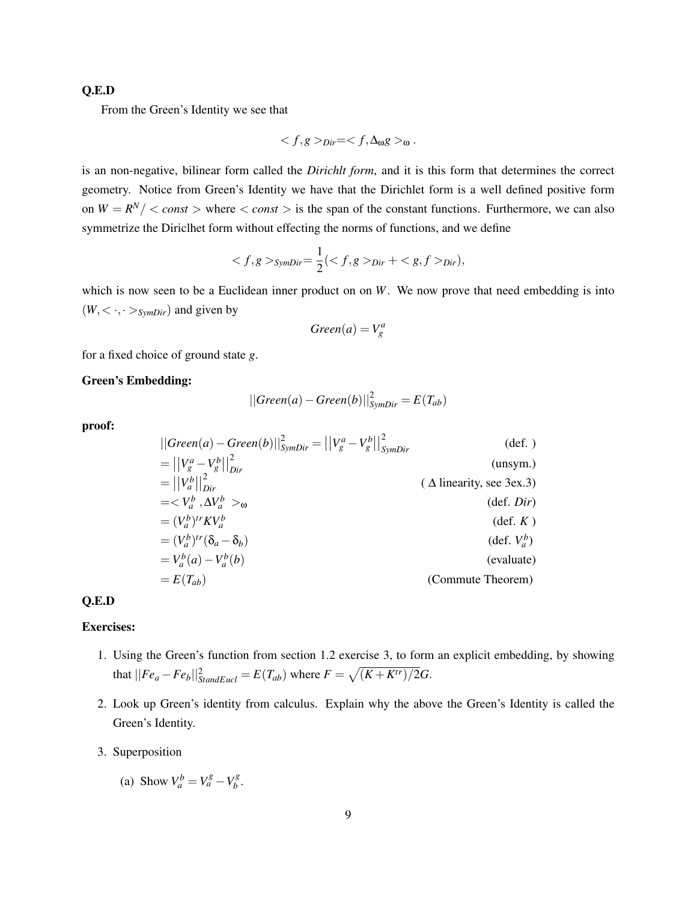### Q.E.D

From the Green's Identity we see that

$$
\langle f, g \rangle_{Dir} = \langle f, \Delta_0 g \rangle_0.
$$

is an non-negative, bilinear form called the *Dirichlt form*, and it is this form that determines the correct geometry. Notice from Green's Identity we have that the Dirichlet form is a well defined positive form on  $W = R^N / \langle \text{const} \rangle$  where  $\langle \text{const} \rangle$  is the span of the constant functions. Furthermore, we can also symmetrize the Diriclhet form without effecting the norms of functions, and we define

$$
\langle f, g \rangle_{SymDir} = \frac{1}{2} (\langle f, g \rangle_{Dir} + \langle g, f \rangle_{Dir}),
$$

which is now seen to be a Euclidean inner product on on *W*. We now prove that need embedding is into  $(W, \langle \cdot, \cdot \rangle_{SymDir})$  and given by

$$
Green(a) = V_g^a
$$

for a fixed choice of ground state *g*.

### Green's Embedding:

$$
||Green(a) - Green(b)||_{SymDir}^2 = E(T_{ab})
$$

proof:

$$
||Green(a) - Green(b)||_{SymDir}^{2} = ||V_{g}^{a} - V_{g}^{b}||_{SymDir}^{2}
$$
 (def.)  
\n
$$
= ||V_{g}^{a} - V_{g}^{b}||_{Dir}^{2}
$$
 (unsym.)  
\n
$$
= ||V_{a}^{b}||_{Dir}^{2}
$$
 (unsym.)  
\n
$$
= \langle V_{a}^{b}, \Delta V_{a}^{b} \rangle_{\omega}
$$
 (def. Dir)  
\n
$$
= (V_{a}^{b})^{tr} K V_{a}^{b}
$$
 (def. *K*)  
\n
$$
= (V_{a}^{b})^{tr} (\delta_{a} - \delta_{b})
$$
 (def. *K*)  
\n
$$
= V_{a}^{b} (a) - V_{a}^{b} (b)
$$
 (evaluate Theorem)

## Q.E.D

### Exercises:

- 1. Using the Green's function from section 1.2 exercise 3, to form an explicit embedding, by showing that  $||Fe_a - Fe_b||_{StandardEucl}^2 = E(T_{ab})$  where  $F = \sqrt{(K + K^{tr})/2}G$ .
- 2. Look up Green's identity from calculus. Explain why the above the Green's Identity is called the Green's Identity.
- 3. Superposition
	- (a) Show  $V_a^b = V_a^g V_b^g$ *b* .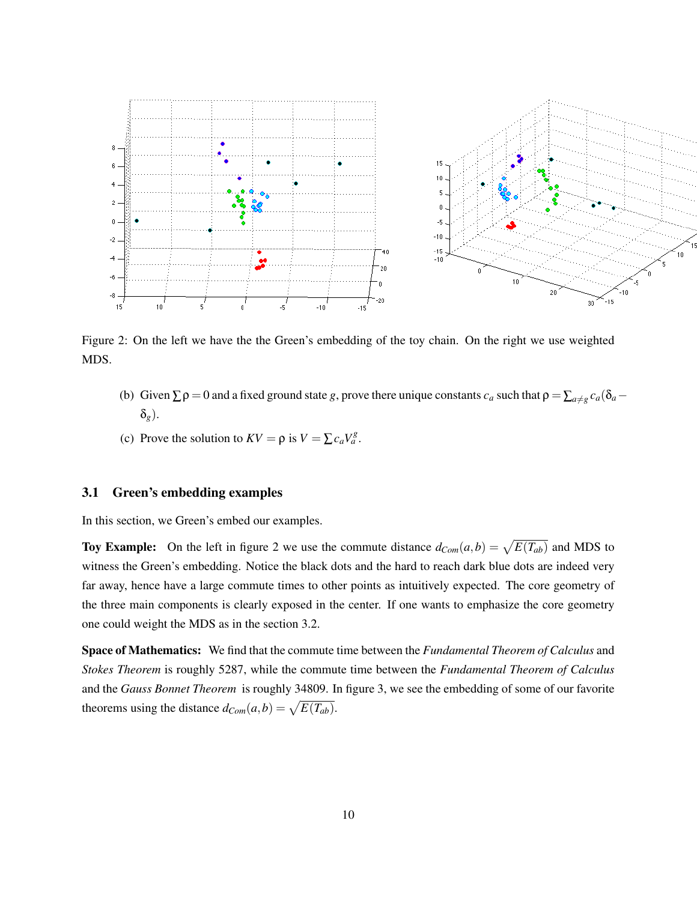

Figure 2: On the left we have the the Green's embedding of the toy chain. On the right we use weighted MDS.

- (b) Given  $\Sigma \rho = 0$  and a fixed ground state *g*, prove there unique constants  $c_a$  such that  $\rho = \sum_{a \neq g} c_a(\delta_a \delta_a)$ δ*g*).
- (c) Prove the solution to  $KV = \rho$  is  $V = \sum c_a V_a^g$ .

### 3.1 Green's embedding examples

In this section, we Green's embed our examples.

**Toy Example:** On the left in figure 2 we use the commute distance  $d_{Com}(a,b) = \sqrt{E(T_{ab})}$  and MDS to witness the Green's embedding. Notice the black dots and the hard to reach dark blue dots are indeed very far away, hence have a large commute times to other points as intuitively expected. The core geometry of the three main components is clearly exposed in the center. If one wants to emphasize the core geometry one could weight the MDS as in the section 3.2.

Space of Mathematics: We find that the commute time between the *Fundamental Theorem of Calculus* and *Stokes Theorem* is roughly 5287, while the commute time between the *Fundamental Theorem of Calculus* and the *Gauss Bonnet Theorem* is roughly 34809. In figure 3, we see the embedding of some of our favorite theorems using the distance  $d_{Com}(a, b) = \sqrt{E(T_{ab})}$ .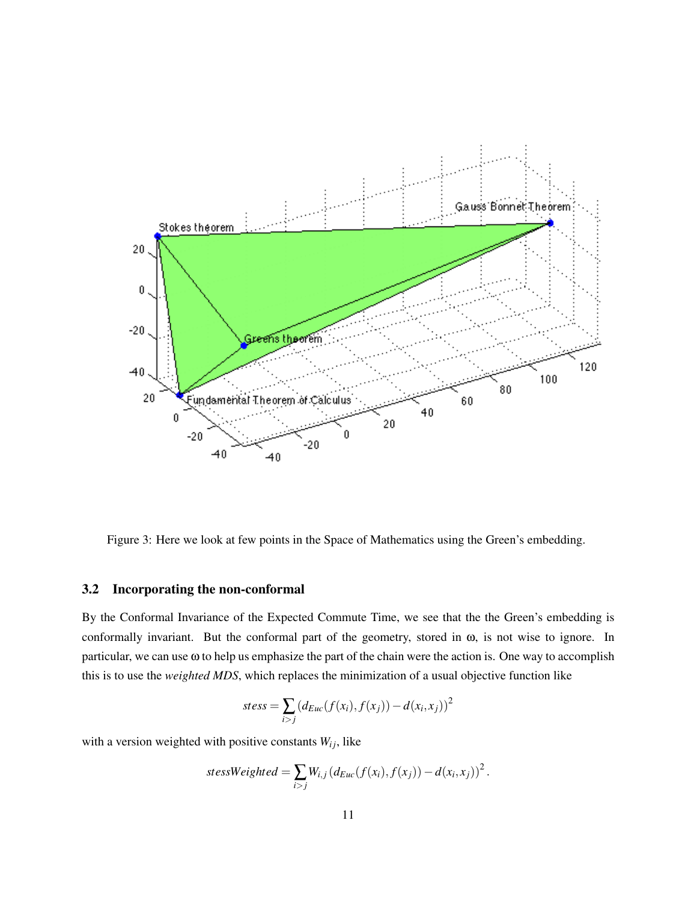

Figure 3: Here we look at few points in the Space of Mathematics using the Green's embedding.

### 3.2 Incorporating the non-conformal

By the Conformal Invariance of the Expected Commute Time, we see that the the Green's embedding is conformally invariant. But the conformal part of the geometry, stored in ω, is not wise to ignore. In particular, we can use ω to help us emphasize the part of the chain were the action is. One way to accomplish this is to use the *weighted MDS*, which replaces the minimization of a usual objective function like

$$
stess = \sum_{i > j} (d_{Euc}(f(x_i), f(x_j)) - d(x_i, x_j))^2
$$

with a version weighted with positive constants  $W_{ij}$ , like

$$
stessWeighted = \sum_{i>j} W_{i,j} (d_{Euc}(f(x_i), f(x_j)) - d(x_i, x_j))^2.
$$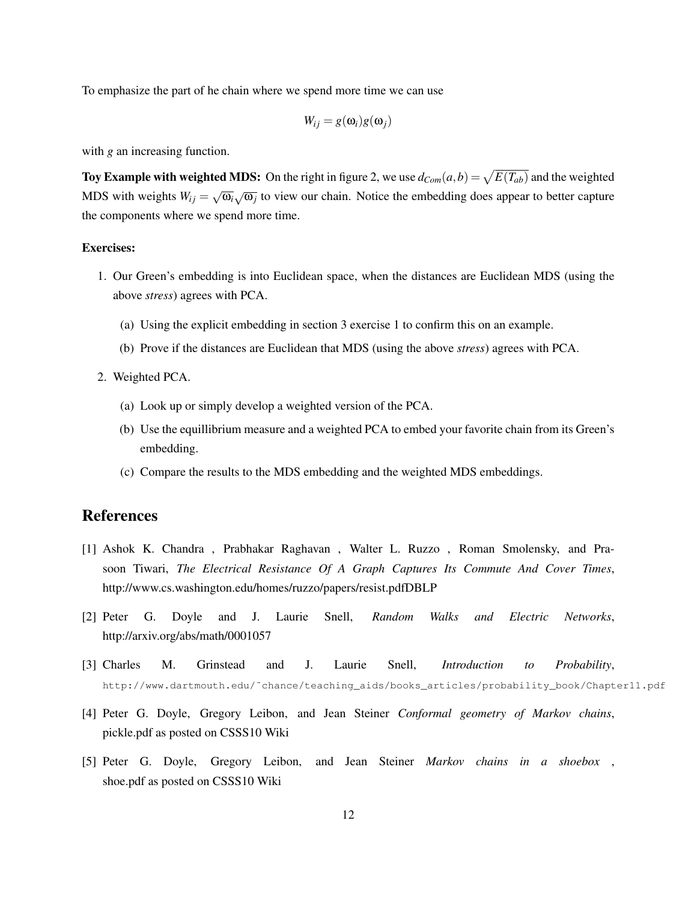To emphasize the part of he chain where we spend more time we can use

$$
W_{ij} = g(\omega_i)g(\omega_j)
$$

with *g* an increasing function.

Toy Example with weighted MDS: On the right in figure 2, we use  $d_{Com}(a,b) = \sqrt{E(T_{ab})}$  and the weighted MDS with weights  $W_{ij} = \sqrt{\frac{2}{\pi}}$  $\overline{\omega_i}$   $\sqrt{\omega_j}$  to view our chain. Notice the embedding does appear to better capture the components where we spend more time.

### Exercises:

- 1. Our Green's embedding is into Euclidean space, when the distances are Euclidean MDS (using the above *stress*) agrees with PCA.
	- (a) Using the explicit embedding in section 3 exercise 1 to confirm this on an example.
	- (b) Prove if the distances are Euclidean that MDS (using the above *stress*) agrees with PCA.
- 2. Weighted PCA.
	- (a) Look up or simply develop a weighted version of the PCA.
	- (b) Use the equillibrium measure and a weighted PCA to embed your favorite chain from its Green's embedding.
	- (c) Compare the results to the MDS embedding and the weighted MDS embeddings.

# References

- [1] Ashok K. Chandra , Prabhakar Raghavan , Walter L. Ruzzo , Roman Smolensky, and Prasoon Tiwari, *The Electrical Resistance Of A Graph Captures Its Commute And Cover Times*, http://www.cs.washington.edu/homes/ruzzo/papers/resist.pdfDBLP
- [2] Peter G. Doyle and J. Laurie Snell, *Random Walks and Electric Networks*, http://arxiv.org/abs/math/0001057
- [3] Charles M. Grinstead and J. Laurie Snell, *Introduction to Probability*, http://www.dartmouth.edu/˜chance/teaching\_aids/books\_articles/probability\_book/Chapter11.pdf
- [4] Peter G. Doyle, Gregory Leibon, and Jean Steiner *Conformal geometry of Markov chains*, pickle.pdf as posted on CSSS10 Wiki
- [5] Peter G. Doyle, Gregory Leibon, and Jean Steiner *Markov chains in a shoebox* , shoe.pdf as posted on CSSS10 Wiki